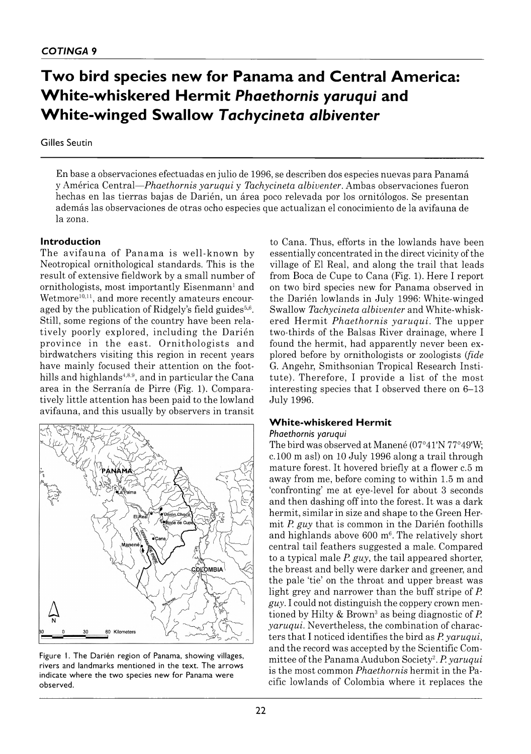# **Two bird species new for Panama and Central America: White-whiskered Hermit** *Phaethornis yaruqui* **and White-winged Swallow** *Tachycineta albiventer*

#### Gilles Seutin

En base a observaciones efectuadas en julio de 1996, se describen dos especies nuevas para Panamá y América Central *— Phaethornis yaruqui* y *Tachycineta albiventer.* Ambas observaciones fueron hechas en las tierras bajas de Darién, un área poco relevada por los ornitólogos. Se presentan además las observaciones de otras ocho especies que actualizan el conocimiento de la avifauna de la zona.

#### **Introduction**

The avifauna of Panama is well-known by Neotropical ornithological standards. This is the result of extensive fieldwork by a small number of ornithologists, most importantly Eisenmann<sup>1</sup> and Wetmore $10,11$ , and more recently amateurs encouraged by the publication of Ridgely's field guides $5.6$ . Still, some regions of the country have been relatively poorly explored, including the Darién province in the east. Ornithologists and birdwatchers visiting this region in recent years have mainly focused their attention on the foothills and highlands<sup>4,8,9</sup>, and in particular the Cana area in the Serranía de Pirre (Fig. 1). Comparatively little attention has been paid to the lowland avifauna, and this usually by observers in transit



Figure 1. The Darién region of Panama, showing villages, rivers and landmarks mentioned in the text. The arrows indicate where the two species new for Panama were observed.

to Cana. Thus, efforts in the lowlands have been essentially concentrated in the direct vicinity of the village of El Real, and along the trail that leads from Boca de Cupe to Cana (Fig. 1). Here I report on two bird species new for Panama observed in the Darién lowlands in July 1996: White-winged Swallow *Tachycineta albiventer* and White-whiskered Hermit *Phaethornis yaruqui*. The upper two-thirds of the Balsas River drainage, where I found the hermit, had apparently never been explored before by ornithologists or zoologists (*fide* G. Angehr, Smithsonian Tropical Research Institute). Therefore, I provide a list of the most interesting species that I observed there on  $6-13$ July 1996.

#### **White-whiskered Hermit**

#### *Phaethornis yaruqui*

The bird was observed at Manené (07°41'N 77°49W; c. 100 m asl) on 10 July 1996 along a trail through mature forest. It hovered briefly at a flower c.5 m away from me, before coming to within 1.5 m and 'confronting' me at eye-level for about 3 seconds and then dashing off into the forest. It was a dark hermit, similar in size and shape to the Green Hermit *P. guy* that is common in the Darién foothills and highlands above  $600 \text{ m}^6$ . The relatively short central tail feathers suggested a male. Compared to a typical male *P. guy,* the tail appeared shorter, the breast and belly were darker and greener, and the pale 'tie' on the throat and upper breast was light grey and narrower than the buff stripe of *P. guy.* I could not distinguish the coppery crown mentioned by Hilty & Brown3 as being diagnostic of *P. yaruqui.* Nevertheless, the combination of characters that I noticed identifies the bird as *P. yaruqui,* and the record was accepted by the Scientific Committee of the Panama Audubon Society2. *P. yaruqui* is the most common *Phaethornis* hermit in the Pacific lowlands of Colombia where it replaces the